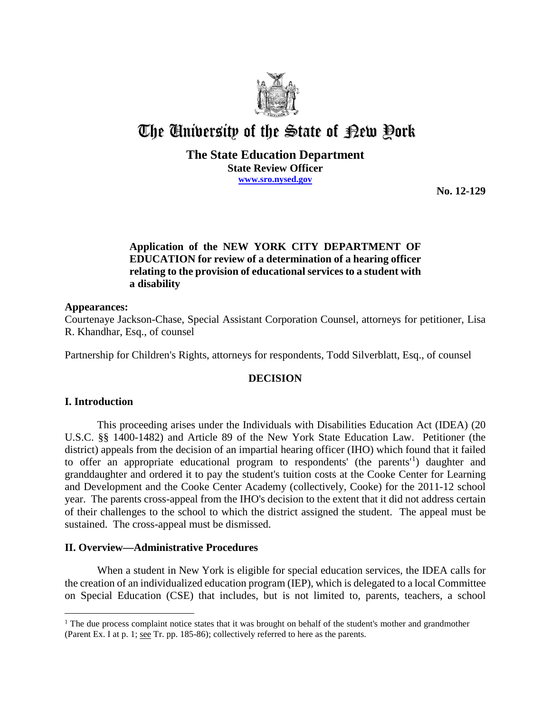

# The University of the State of Pew Pork

## **The State Education Department State Review Officer www.sro.nysed.gov**

**No. 12-129**

## **Application of the NEW YORK CITY DEPARTMENT OF EDUCATION for review of a determination of a hearing officer relating to the provision of educational services to a student with a disability**

## **Appearances:**

Courtenaye Jackson-Chase, Special Assistant Corporation Counsel, attorneys for petitioner, Lisa R. Khandhar, Esq., of counsel

Partnership for Children's Rights, attorneys for respondents, Todd Silverblatt, Esq., of counsel

## **DECISION**

## **I. Introduction**

This proceeding arises under the Individuals with Disabilities Education Act (IDEA) (20 U.S.C. §§ 1400-1482) and Article 89 of the New York State Education Law. Petitioner (the district) appeals from the decision of an impartial hearing officer (IHO) which found that it failed to offer an appropriate educational program to respondents' (the parents<sup>1</sup>) daughter and granddaughter and ordered it to pay the student's tuition costs at the Cooke Center for Learning and Development and the Cooke Center Academy (collectively, Cooke) for the 2011-12 school year. The parents cross-appeal from the IHO's decision to the extent that it did not address certain of their challenges to the school to which the district assigned the student. The appeal must be sustained. The cross-appeal must be dismissed.

## **II. Overview—Administrative Procedures**

When a student in New York is eligible for special education services, the IDEA calls for the creation of an individualized education program (IEP), which is delegated to a local Committee on Special Education (CSE) that includes, but is not limited to, parents, teachers, a school

 $\overline{a}$ <sup>1</sup> The due process complaint notice states that it was brought on behalf of the student's mother and grandmother (Parent Ex. I at p. 1; see Tr. pp. 185-86); collectively referred to here as the parents.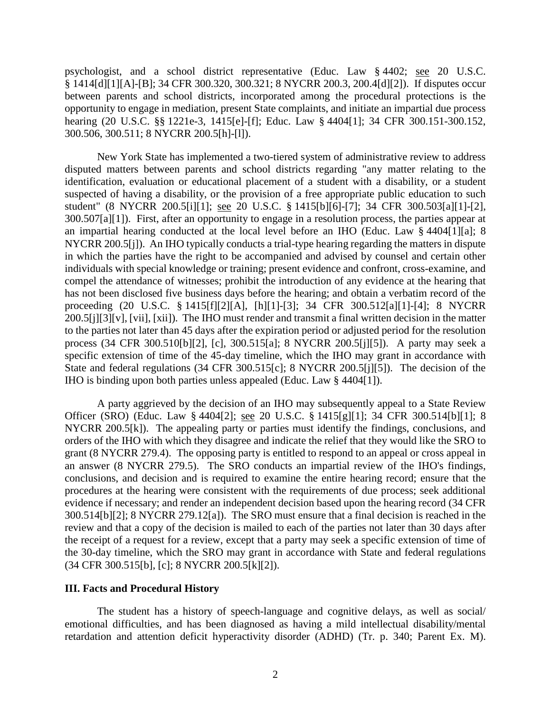psychologist, and a school district representative (Educ. Law § 4402; see 20 U.S.C. § 1414[d][1][A]-[B]; 34 CFR 300.320, 300.321; 8 NYCRR 200.3, 200.4[d][2]). If disputes occur between parents and school districts, incorporated among the procedural protections is the opportunity to engage in mediation, present State complaints, and initiate an impartial due process hearing (20 U.S.C. §§ 1221e-3, 1415[e]-[f]; Educ. Law § 4404[1]; 34 CFR 300.151-300.152, 300.506, 300.511; 8 NYCRR 200.5[h]-[l]).

New York State has implemented a two-tiered system of administrative review to address disputed matters between parents and school districts regarding "any matter relating to the identification, evaluation or educational placement of a student with a disability, or a student suspected of having a disability, or the provision of a free appropriate public education to such student" (8 NYCRR 200.5[i][1]; see 20 U.S.C. § 1415[b][6]-[7]; 34 CFR 300.503[a][1]-[2], 300.507[a][1]). First, after an opportunity to engage in a resolution process, the parties appear at an impartial hearing conducted at the local level before an IHO (Educ. Law § 4404[1][a]; 8 NYCRR 200.5[j]). An IHO typically conducts a trial-type hearing regarding the matters in dispute in which the parties have the right to be accompanied and advised by counsel and certain other individuals with special knowledge or training; present evidence and confront, cross-examine, and compel the attendance of witnesses; prohibit the introduction of any evidence at the hearing that has not been disclosed five business days before the hearing; and obtain a verbatim record of the proceeding (20 U.S.C. § 1415[f][2][A], [h][1]-[3]; 34 CFR 300.512[a][1]-[4]; 8 NYCRR 200.5[j][3][v], [vii], [xii]). The IHO must render and transmit a final written decision in the matter to the parties not later than 45 days after the expiration period or adjusted period for the resolution process (34 CFR 300.510[b][2], [c], 300.515[a]; 8 NYCRR 200.5[j][5]). A party may seek a specific extension of time of the 45-day timeline, which the IHO may grant in accordance with State and federal regulations (34 CFR 300.515[c]; 8 NYCRR 200.5[j][5]). The decision of the IHO is binding upon both parties unless appealed (Educ. Law § 4404[1]).

A party aggrieved by the decision of an IHO may subsequently appeal to a State Review Officer (SRO) (Educ. Law § 4404[2]; see 20 U.S.C. § 1415[g][1]; 34 CFR 300.514[b][1]; 8 NYCRR 200.5[k]). The appealing party or parties must identify the findings, conclusions, and orders of the IHO with which they disagree and indicate the relief that they would like the SRO to grant (8 NYCRR 279.4). The opposing party is entitled to respond to an appeal or cross appeal in an answer (8 NYCRR 279.5). The SRO conducts an impartial review of the IHO's findings, conclusions, and decision and is required to examine the entire hearing record; ensure that the procedures at the hearing were consistent with the requirements of due process; seek additional evidence if necessary; and render an independent decision based upon the hearing record (34 CFR 300.514[b][2]; 8 NYCRR 279.12[a]). The SRO must ensure that a final decision is reached in the review and that a copy of the decision is mailed to each of the parties not later than 30 days after the receipt of a request for a review, except that a party may seek a specific extension of time of the 30-day timeline, which the SRO may grant in accordance with State and federal regulations (34 CFR 300.515[b], [c]; 8 NYCRR 200.5[k][2]).

#### **III. Facts and Procedural History**

The student has a history of speech-language and cognitive delays, as well as social/ emotional difficulties, and has been diagnosed as having a mild intellectual disability/mental retardation and attention deficit hyperactivity disorder (ADHD) (Tr. p. 340; Parent Ex. M).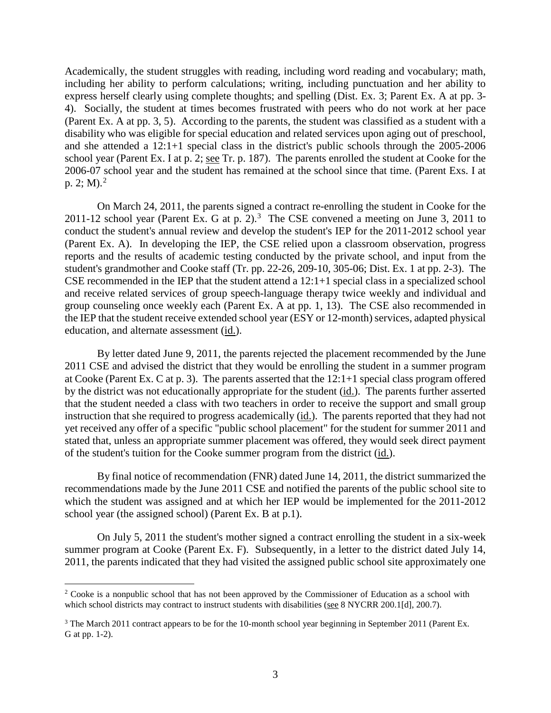Academically, the student struggles with reading, including word reading and vocabulary; math, including her ability to perform calculations; writing, including punctuation and her ability to express herself clearly using complete thoughts; and spelling (Dist. Ex. 3; Parent Ex. A at pp. 3- 4). Socially, the student at times becomes frustrated with peers who do not work at her pace (Parent Ex. A at pp. 3, 5). According to the parents, the student was classified as a student with a disability who was eligible for special education and related services upon aging out of preschool, and she attended a 12:1+1 special class in the district's public schools through the 2005-2006 school year (Parent Ex. I at p. 2; see Tr. p. 187). The parents enrolled the student at Cooke for the 2006-07 school year and the student has remained at the school since that time. (Parent Exs. I at p. 2; M).<sup>2</sup>

On March 24, 2011, the parents signed a contract re-enrolling the student in Cooke for the 2011-12 school year (Parent Ex. G at p. 2).<sup>3</sup> The CSE convened a meeting on June 3, 2011 to conduct the student's annual review and develop the student's IEP for the 2011-2012 school year (Parent Ex. A). In developing the IEP, the CSE relied upon a classroom observation, progress reports and the results of academic testing conducted by the private school, and input from the student's grandmother and Cooke staff (Tr. pp. 22-26, 209-10, 305-06; Dist. Ex. 1 at pp. 2-3). The CSE recommended in the IEP that the student attend a 12:1+1 special class in a specialized school and receive related services of group speech-language therapy twice weekly and individual and group counseling once weekly each (Parent Ex. A at pp. 1, 13). The CSE also recommended in the IEP that the student receive extended school year (ESY or 12-month) services, adapted physical education, and alternate assessment (id.).

By letter dated June 9, 2011, the parents rejected the placement recommended by the June 2011 CSE and advised the district that they would be enrolling the student in a summer program at Cooke (Parent Ex. C at p. 3). The parents asserted that the  $12:1+1$  special class program offered by the district was not educationally appropriate for the student (id.). The parents further asserted that the student needed a class with two teachers in order to receive the support and small group instruction that she required to progress academically (id.). The parents reported that they had not yet received any offer of a specific "public school placement" for the student for summer 2011 and stated that, unless an appropriate summer placement was offered, they would seek direct payment of the student's tuition for the Cooke summer program from the district (id.).

By final notice of recommendation (FNR) dated June 14, 2011, the district summarized the recommendations made by the June 2011 CSE and notified the parents of the public school site to which the student was assigned and at which her IEP would be implemented for the 2011-2012 school year (the assigned school) (Parent Ex. B at p.1).

On July 5, 2011 the student's mother signed a contract enrolling the student in a six-week summer program at Cooke (Parent Ex. F). Subsequently, in a letter to the district dated July 14, 2011, the parents indicated that they had visited the assigned public school site approximately one

<sup>&</sup>lt;sup>2</sup> Cooke is a nonpublic school that has not been approved by the Commissioner of Education as a school with which school districts may contract to instruct students with disabilities (see 8 NYCRR 200.1[d], 200.7).

<sup>&</sup>lt;sup>3</sup> The March 2011 contract appears to be for the 10-month school year beginning in September 2011 (Parent Ex. G at pp. 1-2).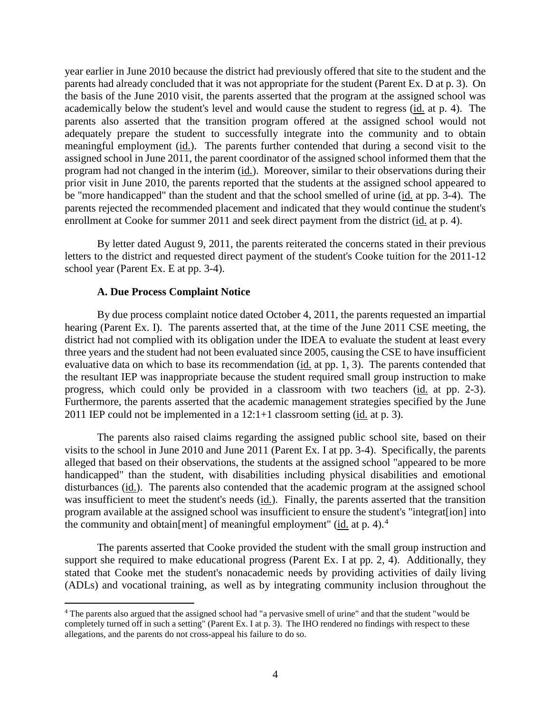year earlier in June 2010 because the district had previously offered that site to the student and the parents had already concluded that it was not appropriate for the student (Parent Ex. D at p. 3). On the basis of the June 2010 visit, the parents asserted that the program at the assigned school was academically below the student's level and would cause the student to regress (id. at p. 4). The parents also asserted that the transition program offered at the assigned school would not adequately prepare the student to successfully integrate into the community and to obtain meaningful employment (id.). The parents further contended that during a second visit to the assigned school in June 2011, the parent coordinator of the assigned school informed them that the program had not changed in the interim (id.). Moreover, similar to their observations during their prior visit in June 2010, the parents reported that the students at the assigned school appeared to be "more handicapped" than the student and that the school smelled of urine (id. at pp. 3-4). The parents rejected the recommended placement and indicated that they would continue the student's enrollment at Cooke for summer 2011 and seek direct payment from the district (id. at p. 4).

By letter dated August 9, 2011, the parents reiterated the concerns stated in their previous letters to the district and requested direct payment of the student's Cooke tuition for the 2011-12 school year (Parent Ex. E at pp. 3-4).

#### **A. Due Process Complaint Notice**

By due process complaint notice dated October 4, 2011, the parents requested an impartial hearing (Parent Ex. I). The parents asserted that, at the time of the June 2011 CSE meeting, the district had not complied with its obligation under the IDEA to evaluate the student at least every three years and the student had not been evaluated since 2005, causing the CSE to have insufficient evaluative data on which to base its recommendation (id. at pp. 1, 3). The parents contended that the resultant IEP was inappropriate because the student required small group instruction to make progress, which could only be provided in a classroom with two teachers (id. at pp. 2-3). Furthermore, the parents asserted that the academic management strategies specified by the June 2011 IEP could not be implemented in a  $12:1+1$  classroom setting (id. at p. 3).

The parents also raised claims regarding the assigned public school site, based on their visits to the school in June 2010 and June 2011 (Parent Ex. I at pp. 3-4). Specifically, the parents alleged that based on their observations, the students at the assigned school "appeared to be more handicapped" than the student, with disabilities including physical disabilities and emotional disturbances (id.). The parents also contended that the academic program at the assigned school was insufficient to meet the student's needs (id.). Finally, the parents asserted that the transition program available at the assigned school was insufficient to ensure the student's "integrat[ion] into the community and obtain [ment] of meaningful employment" ( $\underline{\text{id}}$  at p. 4).<sup>4</sup>

The parents asserted that Cooke provided the student with the small group instruction and support she required to make educational progress (Parent Ex. I at pp. 2, 4). Additionally, they stated that Cooke met the student's nonacademic needs by providing activities of daily living (ADLs) and vocational training, as well as by integrating community inclusion throughout the

 <sup>4</sup> The parents also argued that the assigned school had "a pervasive smell of urine" and that the student "would be completely turned off in such a setting" (Parent Ex. I at p. 3). The IHO rendered no findings with respect to these allegations, and the parents do not cross-appeal his failure to do so.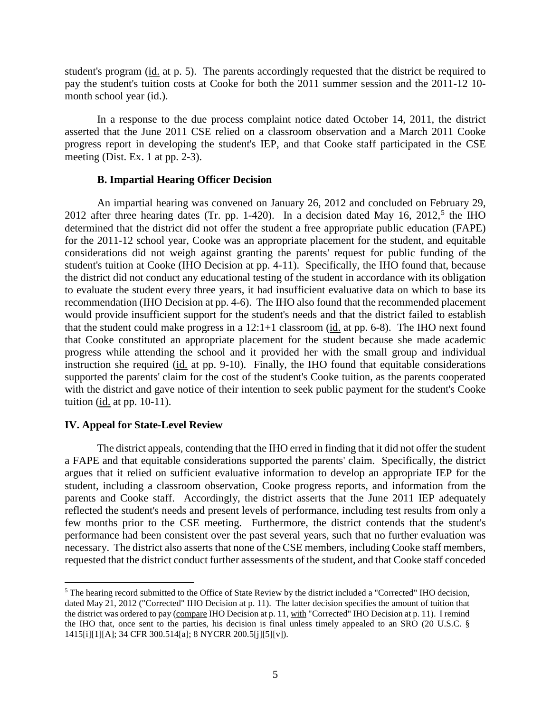student's program (id. at p. 5). The parents accordingly requested that the district be required to pay the student's tuition costs at Cooke for both the 2011 summer session and the 2011-12 10 month school year (id.).

In a response to the due process complaint notice dated October 14, 2011, the district asserted that the June 2011 CSE relied on a classroom observation and a March 2011 Cooke progress report in developing the student's IEP, and that Cooke staff participated in the CSE meeting (Dist. Ex. 1 at pp. 2-3).

#### **B. Impartial Hearing Officer Decision**

An impartial hearing was convened on January 26, 2012 and concluded on February 29, 2012 after three hearing dates (Tr. pp. 1-420). In a decision dated May 16, 2012,<sup>5</sup> the IHO determined that the district did not offer the student a free appropriate public education (FAPE) for the 2011-12 school year, Cooke was an appropriate placement for the student, and equitable considerations did not weigh against granting the parents' request for public funding of the student's tuition at Cooke (IHO Decision at pp. 4-11). Specifically, the IHO found that, because the district did not conduct any educational testing of the student in accordance with its obligation to evaluate the student every three years, it had insufficient evaluative data on which to base its recommendation (IHO Decision at pp. 4-6). The IHO also found that the recommended placement would provide insufficient support for the student's needs and that the district failed to establish that the student could make progress in a  $12:1+1$  classroom (id. at pp. 6-8). The IHO next found that Cooke constituted an appropriate placement for the student because she made academic progress while attending the school and it provided her with the small group and individual instruction she required (id. at pp. 9-10). Finally, the IHO found that equitable considerations supported the parents' claim for the cost of the student's Cooke tuition, as the parents cooperated with the district and gave notice of their intention to seek public payment for the student's Cooke tuition (id. at pp. 10-11).

#### **IV. Appeal for State-Level Review**

The district appeals, contending that the IHO erred in finding that it did not offer the student a FAPE and that equitable considerations supported the parents' claim. Specifically, the district argues that it relied on sufficient evaluative information to develop an appropriate IEP for the student, including a classroom observation, Cooke progress reports, and information from the parents and Cooke staff. Accordingly, the district asserts that the June 2011 IEP adequately reflected the student's needs and present levels of performance, including test results from only a few months prior to the CSE meeting. Furthermore, the district contends that the student's performance had been consistent over the past several years, such that no further evaluation was necessary. The district also asserts that none of the CSE members, including Cooke staff members, requested that the district conduct further assessments of the student, and that Cooke staff conceded

 <sup>5</sup> The hearing record submitted to the Office of State Review by the district included a "Corrected" IHO decision, dated May 21, 2012 ("Corrected" IHO Decision at p. 11). The latter decision specifies the amount of tuition that the district was ordered to pay (compare IHO Decision at p. 11, with "Corrected" IHO Decision at p. 11). I remind the IHO that, once sent to the parties, his decision is final unless timely appealed to an SRO (20 U.S.C. § 1415[i][1][A]; 34 CFR 300.514[a]; 8 NYCRR 200.5[j][5][v]).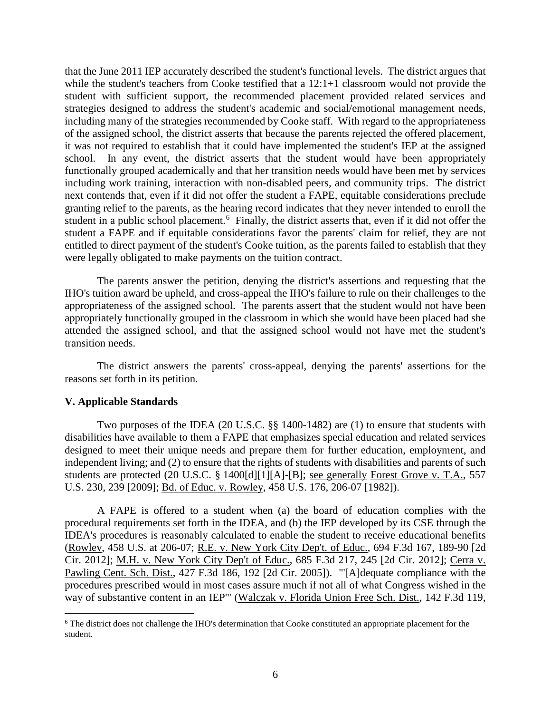that the June 2011 IEP accurately described the student's functional levels. The district argues that while the student's teachers from Cooke testified that a 12:1+1 classroom would not provide the student with sufficient support, the recommended placement provided related services and strategies designed to address the student's academic and social/emotional management needs, including many of the strategies recommended by Cooke staff. With regard to the appropriateness of the assigned school, the district asserts that because the parents rejected the offered placement, it was not required to establish that it could have implemented the student's IEP at the assigned school. In any event, the district asserts that the student would have been appropriately functionally grouped academically and that her transition needs would have been met by services including work training, interaction with non-disabled peers, and community trips. The district next contends that, even if it did not offer the student a FAPE, equitable considerations preclude granting relief to the parents, as the hearing record indicates that they never intended to enroll the student in a public school placement.<sup>6</sup> Finally, the district asserts that, even if it did not offer the student a FAPE and if equitable considerations favor the parents' claim for relief, they are not entitled to direct payment of the student's Cooke tuition, as the parents failed to establish that they were legally obligated to make payments on the tuition contract.

The parents answer the petition, denying the district's assertions and requesting that the IHO's tuition award be upheld, and cross-appeal the IHO's failure to rule on their challenges to the appropriateness of the assigned school. The parents assert that the student would not have been appropriately functionally grouped in the classroom in which she would have been placed had she attended the assigned school, and that the assigned school would not have met the student's transition needs.

The district answers the parents' cross-appeal, denying the parents' assertions for the reasons set forth in its petition.

## **V. Applicable Standards**

Two purposes of the IDEA (20 U.S.C. §§ 1400-1482) are (1) to ensure that students with disabilities have available to them a FAPE that emphasizes special education and related services designed to meet their unique needs and prepare them for further education, employment, and independent living; and (2) to ensure that the rights of students with disabilities and parents of such students are protected (20 U.S.C. § 1400[d][1][A]-[B]; see generally Forest Grove v. T.A., 557 U.S. 230, 239 [2009]; Bd. of Educ. v. Rowley, 458 U.S. 176, 206-07 [1982]).

A FAPE is offered to a student when (a) the board of education complies with the procedural requirements set forth in the IDEA, and (b) the IEP developed by its CSE through the IDEA's procedures is reasonably calculated to enable the student to receive educational benefits (Rowley, 458 U.S. at 206-07; R.E. v. New York City Dep't. of Educ., 694 F.3d 167, 189-90 [2d Cir. 2012]; M.H. v. New York City Dep't of Educ., 685 F.3d 217, 245 [2d Cir. 2012]; Cerra v. Pawling Cent. Sch. Dist., 427 F.3d 186, 192 [2d Cir. 2005]). "'[A]dequate compliance with the procedures prescribed would in most cases assure much if not all of what Congress wished in the way of substantive content in an IEP'" (Walczak v. Florida Union Free Sch. Dist., 142 F.3d 119,

<sup>&</sup>lt;sup>6</sup> The district does not challenge the IHO's determination that Cooke constituted an appropriate placement for the student.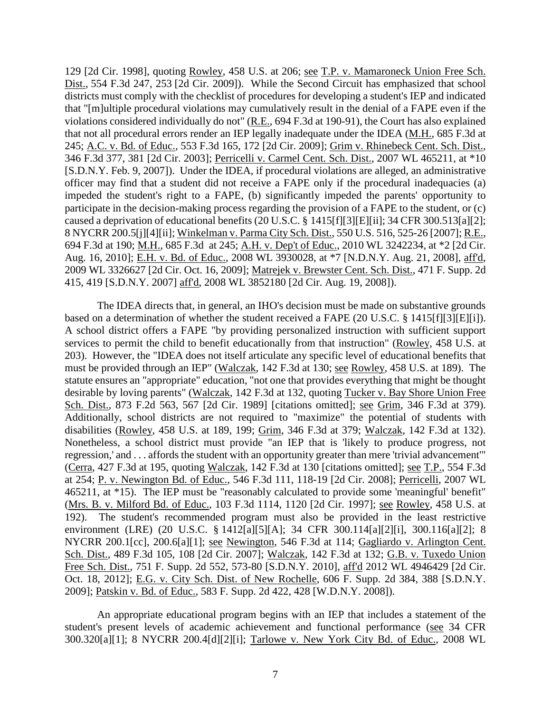129 [2d Cir. 1998], quoting Rowley, 458 U.S. at 206; see T.P. v. Mamaroneck Union Free Sch. Dist., 554 F.3d 247, 253 [2d Cir. 2009]). While the Second Circuit has emphasized that school districts must comply with the checklist of procedures for developing a student's IEP and indicated that "[m]ultiple procedural violations may cumulatively result in the denial of a FAPE even if the violations considered individually do not" (R.E., 694 F.3d at 190-91), the Court has also explained that not all procedural errors render an IEP legally inadequate under the IDEA (M.H., 685 F.3d at 245; A.C. v. Bd. of Educ., 553 F.3d 165, 172 [2d Cir. 2009]; Grim v. Rhinebeck Cent. Sch. Dist., 346 F.3d 377, 381 [2d Cir. 2003]; Perricelli v. Carmel Cent. Sch. Dist., 2007 WL 465211, at \*10 [S.D.N.Y. Feb. 9, 2007]). Under the IDEA, if procedural violations are alleged, an administrative officer may find that a student did not receive a FAPE only if the procedural inadequacies (a) impeded the student's right to a FAPE, (b) significantly impeded the parents' opportunity to participate in the decision-making process regarding the provision of a FAPE to the student, or (c) caused a deprivation of educational benefits (20 U.S.C. § 1415[f][3][E][ii]; 34 CFR 300.513[a][2]; 8 NYCRR 200.5[j][4][ii]; Winkelman v. Parma City Sch. Dist., 550 U.S. 516, 525-26 [2007]; R.E., 694 F.3d at 190; M.H., 685 F.3d at 245; A.H. v. Dep't of Educ., 2010 WL 3242234, at \*2 [2d Cir. Aug. 16, 2010]; E.H. v. Bd. of Educ., 2008 WL 3930028, at \*7 [N.D.N.Y. Aug. 21, 2008], aff'd, 2009 WL 3326627 [2d Cir. Oct. 16, 2009]; Matrejek v. Brewster Cent. Sch. Dist., 471 F. Supp. 2d 415, 419 [S.D.N.Y. 2007] aff'd, 2008 WL 3852180 [2d Cir. Aug. 19, 2008]).

The IDEA directs that, in general, an IHO's decision must be made on substantive grounds based on a determination of whether the student received a FAPE (20 U.S.C. § 1415[f][3][E][i]). A school district offers a FAPE "by providing personalized instruction with sufficient support services to permit the child to benefit educationally from that instruction" (Rowley, 458 U.S. at 203). However, the "IDEA does not itself articulate any specific level of educational benefits that must be provided through an IEP" (Walczak, 142 F.3d at 130; see Rowley, 458 U.S. at 189). The statute ensures an "appropriate" education, "not one that provides everything that might be thought desirable by loving parents" (Walczak, 142 F.3d at 132, quoting Tucker v. Bay Shore Union Free Sch. Dist., 873 F.2d 563, 567 [2d Cir. 1989] [citations omitted]; see Grim, 346 F.3d at 379). Additionally, school districts are not required to "maximize" the potential of students with disabilities (Rowley, 458 U.S. at 189, 199; Grim, 346 F.3d at 379; Walczak, 142 F.3d at 132). Nonetheless, a school district must provide "an IEP that is 'likely to produce progress, not regression,' and . . . affords the student with an opportunity greater than mere 'trivial advancement'" (Cerra, 427 F.3d at 195, quoting Walczak, 142 F.3d at 130 [citations omitted]; see T.P., 554 F.3d at 254; P. v. Newington Bd. of Educ., 546 F.3d 111, 118-19 [2d Cir. 2008]; Perricelli, 2007 WL 465211, at \*15). The IEP must be "reasonably calculated to provide some 'meaningful' benefit" (Mrs. B. v. Milford Bd. of Educ., 103 F.3d 1114, 1120 [2d Cir. 1997]; see Rowley, 458 U.S. at 192). The student's recommended program must also be provided in the least restrictive environment (LRE) (20 U.S.C. § 1412[a][5][A]; 34 CFR 300.114[a][2][i], 300.116[a][2]; 8 NYCRR 200.1[cc], 200.6[a][1]; see Newington, 546 F.3d at 114; Gagliardo v. Arlington Cent. Sch. Dist., 489 F.3d 105, 108 [2d Cir. 2007]; Walczak, 142 F.3d at 132; G.B. v. Tuxedo Union Free Sch. Dist., 751 F. Supp. 2d 552, 573-80 [S.D.N.Y. 2010], aff'd 2012 WL 4946429 [2d Cir. Oct. 18, 2012]; E.G. v. City Sch. Dist. of New Rochelle, 606 F. Supp. 2d 384, 388 [S.D.N.Y. 2009]; Patskin v. Bd. of Educ., 583 F. Supp. 2d 422, 428 [W.D.N.Y. 2008]).

An appropriate educational program begins with an IEP that includes a statement of the student's present levels of academic achievement and functional performance (see 34 CFR 300.320[a][1]; 8 NYCRR 200.4[d][2][i]; Tarlowe v. New York City Bd. of Educ., 2008 WL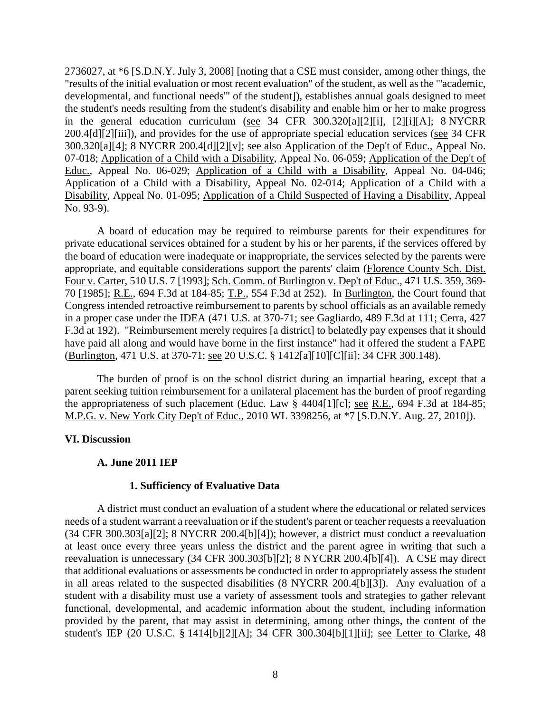2736027, at \*6 [S.D.N.Y. July 3, 2008] [noting that a CSE must consider, among other things, the "results of the initial evaluation or most recent evaluation" of the student, as well as the "'academic, developmental, and functional needs'" of the student]), establishes annual goals designed to meet the student's needs resulting from the student's disability and enable him or her to make progress in the general education curriculum (see 34 CFR 300.320[a][2][i], [2][i][A]; 8 NYCRR 200.4[d][2][iii]), and provides for the use of appropriate special education services (see 34 CFR 300.320[a][4]; 8 NYCRR 200.4[d][2][v]; see also Application of the Dep't of Educ., Appeal No. 07-018; Application of a Child with a Disability, Appeal No. 06-059; Application of the Dep't of Educ., Appeal No. 06-029; Application of a Child with a Disability, Appeal No. 04-046; Application of a Child with a Disability, Appeal No. 02-014; Application of a Child with a Disability, Appeal No. 01-095; Application of a Child Suspected of Having a Disability, Appeal No. 93-9).

A board of education may be required to reimburse parents for their expenditures for private educational services obtained for a student by his or her parents, if the services offered by the board of education were inadequate or inappropriate, the services selected by the parents were appropriate, and equitable considerations support the parents' claim (Florence County Sch. Dist. Four v. Carter, 510 U.S. 7 [1993]; Sch. Comm. of Burlington v. Dep't of Educ., 471 U.S. 359, 369- 70 [1985]; R.E., 694 F.3d at 184-85; T.P., 554 F.3d at 252). In Burlington, the Court found that Congress intended retroactive reimbursement to parents by school officials as an available remedy in a proper case under the IDEA (471 U.S. at 370-71; see Gagliardo, 489 F.3d at 111; Cerra, 427 F.3d at 192). "Reimbursement merely requires [a district] to belatedly pay expenses that it should have paid all along and would have borne in the first instance" had it offered the student a FAPE (Burlington, 471 U.S. at 370-71; see 20 U.S.C. § 1412[a][10][C][ii]; 34 CFR 300.148).

The burden of proof is on the school district during an impartial hearing, except that a parent seeking tuition reimbursement for a unilateral placement has the burden of proof regarding the appropriateness of such placement (Educ. Law § 4404[1][c]; see R.E., 694 F.3d at 184-85; M.P.G. v. New York City Dep't of Educ., 2010 WL 3398256, at \*7 [S.D.N.Y. Aug. 27, 2010]).

#### **VI. Discussion**

## **A. June 2011 IEP**

#### **1. Sufficiency of Evaluative Data**

A district must conduct an evaluation of a student where the educational or related services needs of a student warrant a reevaluation or if the student's parent or teacher requests a reevaluation (34 CFR 300.303[a][2]; 8 NYCRR 200.4[b][4]); however, a district must conduct a reevaluation at least once every three years unless the district and the parent agree in writing that such a reevaluation is unnecessary (34 CFR 300.303[b][2]; 8 NYCRR 200.4[b][4]). A CSE may direct that additional evaluations or assessments be conducted in order to appropriately assess the student in all areas related to the suspected disabilities (8 NYCRR 200.4[b][3]). Any evaluation of a student with a disability must use a variety of assessment tools and strategies to gather relevant functional, developmental, and academic information about the student, including information provided by the parent, that may assist in determining, among other things, the content of the student's IEP (20 U.S.C. § 1414[b][2][A]; 34 CFR 300.304[b][1][ii]; see Letter to Clarke, 48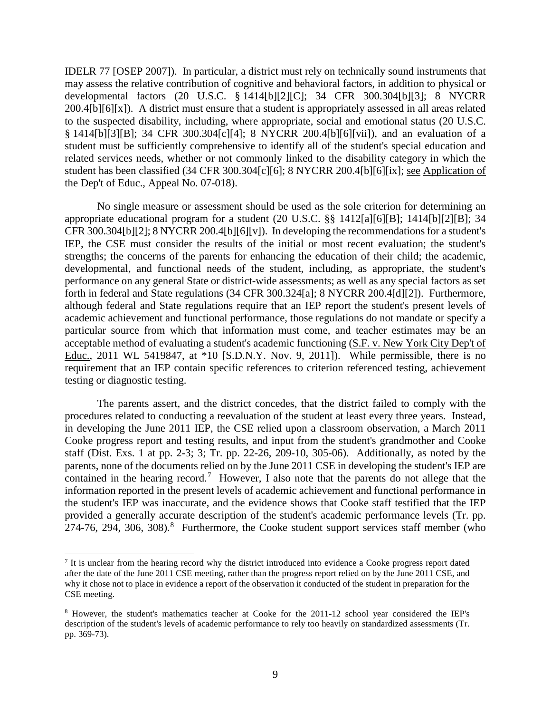IDELR 77 [OSEP 2007]). In particular, a district must rely on technically sound instruments that may assess the relative contribution of cognitive and behavioral factors, in addition to physical or developmental factors (20 U.S.C. § 1414[b][2][C]; 34 CFR 300.304[b][3]; 8 NYCRR 200.4[b][6][x]). A district must ensure that a student is appropriately assessed in all areas related to the suspected disability, including, where appropriate, social and emotional status (20 U.S.C. § 1414[b][3][B]; 34 CFR 300.304[c][4]; 8 NYCRR 200.4[b][6][vii]), and an evaluation of a student must be sufficiently comprehensive to identify all of the student's special education and related services needs, whether or not commonly linked to the disability category in which the student has been classified (34 CFR 300.304[c][6]; 8 NYCRR 200.4[b][6][ix]; see Application of the Dep't of Educ., Appeal No. 07-018).

No single measure or assessment should be used as the sole criterion for determining an appropriate educational program for a student (20 U.S.C. §§ 1412[a][6][B]; 1414[b][2][B]; 34 CFR 300.304[b][2]; 8 NYCRR 200.4[b][6][v]). In developing the recommendations for a student's IEP, the CSE must consider the results of the initial or most recent evaluation; the student's strengths; the concerns of the parents for enhancing the education of their child; the academic, developmental, and functional needs of the student, including, as appropriate, the student's performance on any general State or district-wide assessments; as well as any special factors as set forth in federal and State regulations (34 CFR 300.324[a]; 8 NYCRR 200.4[d][2]). Furthermore, although federal and State regulations require that an IEP report the student's present levels of academic achievement and functional performance, those regulations do not mandate or specify a particular source from which that information must come, and teacher estimates may be an acceptable method of evaluating a student's academic functioning (S.F. v. New York City Dep't of Educ., 2011 WL 5419847, at \*10 [S.D.N.Y. Nov. 9, 2011]). While permissible, there is no requirement that an IEP contain specific references to criterion referenced testing, achievement testing or diagnostic testing.

The parents assert, and the district concedes, that the district failed to comply with the procedures related to conducting a reevaluation of the student at least every three years. Instead, in developing the June 2011 IEP, the CSE relied upon a classroom observation, a March 2011 Cooke progress report and testing results, and input from the student's grandmother and Cooke staff (Dist. Exs. 1 at pp. 2-3; 3; Tr. pp. 22-26, 209-10, 305-06). Additionally, as noted by the parents, none of the documents relied on by the June 2011 CSE in developing the student's IEP are contained in the hearing record.<sup>7</sup> However, I also note that the parents do not allege that the information reported in the present levels of academic achievement and functional performance in the student's IEP was inaccurate, and the evidence shows that Cooke staff testified that the IEP provided a generally accurate description of the student's academic performance levels (Tr. pp. 274-76, 294, 306, 308).<sup>8</sup> Furthermore, the Cooke student support services staff member (who

<sup>&</sup>lt;sup>7</sup> It is unclear from the hearing record why the district introduced into evidence a Cooke progress report dated after the date of the June 2011 CSE meeting, rather than the progress report relied on by the June 2011 CSE, and why it chose not to place in evidence a report of the observation it conducted of the student in preparation for the CSE meeting.

<sup>8</sup> However, the student's mathematics teacher at Cooke for the 2011-12 school year considered the IEP's description of the student's levels of academic performance to rely too heavily on standardized assessments (Tr. pp. 369-73).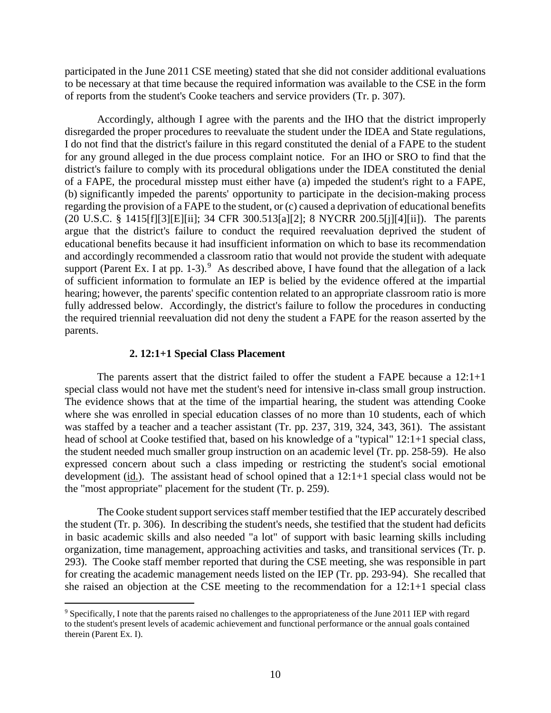participated in the June 2011 CSE meeting) stated that she did not consider additional evaluations to be necessary at that time because the required information was available to the CSE in the form of reports from the student's Cooke teachers and service providers (Tr. p. 307).

Accordingly, although I agree with the parents and the IHO that the district improperly disregarded the proper procedures to reevaluate the student under the IDEA and State regulations, I do not find that the district's failure in this regard constituted the denial of a FAPE to the student for any ground alleged in the due process complaint notice. For an IHO or SRO to find that the district's failure to comply with its procedural obligations under the IDEA constituted the denial of a FAPE, the procedural misstep must either have (a) impeded the student's right to a FAPE, (b) significantly impeded the parents' opportunity to participate in the decision-making process regarding the provision of a FAPE to the student, or (c) caused a deprivation of educational benefits (20 U.S.C. § 1415[f][3][E][ii]; 34 CFR 300.513[a][2]; 8 NYCRR 200.5[j][4][ii]). The parents argue that the district's failure to conduct the required reevaluation deprived the student of educational benefits because it had insufficient information on which to base its recommendation and accordingly recommended a classroom ratio that would not provide the student with adequate support (Parent Ex. I at pp. 1-3).<sup>9</sup> As described above, I have found that the allegation of a lack of sufficient information to formulate an IEP is belied by the evidence offered at the impartial hearing; however, the parents' specific contention related to an appropriate classroom ratio is more fully addressed below. Accordingly, the district's failure to follow the procedures in conducting the required triennial reevaluation did not deny the student a FAPE for the reason asserted by the parents.

#### **2. 12:1+1 Special Class Placement**

The parents assert that the district failed to offer the student a FAPE because a 12:1+1 special class would not have met the student's need for intensive in-class small group instruction. The evidence shows that at the time of the impartial hearing, the student was attending Cooke where she was enrolled in special education classes of no more than 10 students, each of which was staffed by a teacher and a teacher assistant (Tr. pp. 237, 319, 324, 343, 361). The assistant head of school at Cooke testified that, based on his knowledge of a "typical" 12:1+1 special class, the student needed much smaller group instruction on an academic level (Tr. pp. 258-59). He also expressed concern about such a class impeding or restricting the student's social emotional development (id.). The assistant head of school opined that a 12:1+1 special class would not be the "most appropriate" placement for the student (Tr. p. 259).

The Cooke student support services staff member testified that the IEP accurately described the student (Tr. p. 306). In describing the student's needs, she testified that the student had deficits in basic academic skills and also needed "a lot" of support with basic learning skills including organization, time management, approaching activities and tasks, and transitional services (Tr. p. 293). The Cooke staff member reported that during the CSE meeting, she was responsible in part for creating the academic management needs listed on the IEP (Tr. pp. 293-94). She recalled that she raised an objection at the CSE meeting to the recommendation for a 12:1+1 special class

 <sup>9</sup> Specifically, I note that the parents raised no challenges to the appropriateness of the June 2011 IEP with regard to the student's present levels of academic achievement and functional performance or the annual goals contained therein (Parent Ex. I).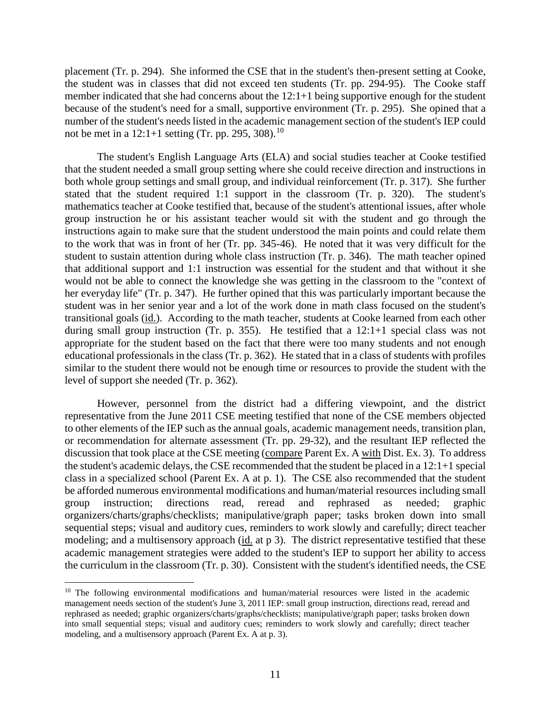placement (Tr. p. 294). She informed the CSE that in the student's then-present setting at Cooke, the student was in classes that did not exceed ten students (Tr. pp. 294-95). The Cooke staff member indicated that she had concerns about the 12:1+1 being supportive enough for the student because of the student's need for a small, supportive environment (Tr. p. 295). She opined that a number of the student's needs listed in the academic management section of the student's IEP could not be met in a  $12:1+1$  setting (Tr. pp. 295, 308).<sup>10</sup>

The student's English Language Arts (ELA) and social studies teacher at Cooke testified that the student needed a small group setting where she could receive direction and instructions in both whole group settings and small group, and individual reinforcement (Tr. p. 317). She further stated that the student required 1:1 support in the classroom (Tr. p. 320). The student's mathematics teacher at Cooke testified that, because of the student's attentional issues, after whole group instruction he or his assistant teacher would sit with the student and go through the instructions again to make sure that the student understood the main points and could relate them to the work that was in front of her (Tr. pp. 345-46). He noted that it was very difficult for the student to sustain attention during whole class instruction (Tr. p. 346). The math teacher opined that additional support and 1:1 instruction was essential for the student and that without it she would not be able to connect the knowledge she was getting in the classroom to the "context of her everyday life" (Tr. p. 347). He further opined that this was particularly important because the student was in her senior year and a lot of the work done in math class focused on the student's transitional goals (id.). According to the math teacher, students at Cooke learned from each other during small group instruction (Tr. p. 355). He testified that a 12:1+1 special class was not appropriate for the student based on the fact that there were too many students and not enough educational professionals in the class (Tr. p. 362). He stated that in a class of students with profiles similar to the student there would not be enough time or resources to provide the student with the level of support she needed (Tr. p. 362).

However, personnel from the district had a differing viewpoint, and the district representative from the June 2011 CSE meeting testified that none of the CSE members objected to other elements of the IEP such as the annual goals, academic management needs, transition plan, or recommendation for alternate assessment (Tr. pp. 29-32), and the resultant IEP reflected the discussion that took place at the CSE meeting (compare Parent Ex. A with Dist. Ex. 3). To address the student's academic delays, the CSE recommended that the student be placed in a 12:1+1 special class in a specialized school (Parent Ex. A at p. 1). The CSE also recommended that the student be afforded numerous environmental modifications and human/material resources including small group instruction; directions read, reread and rephrased as needed; graphic organizers/charts/graphs/checklists; manipulative/graph paper; tasks broken down into small sequential steps; visual and auditory cues, reminders to work slowly and carefully; direct teacher modeling; and a multisensory approach (id. at p 3). The district representative testified that these academic management strategies were added to the student's IEP to support her ability to access the curriculum in the classroom (Tr. p. 30). Consistent with the student's identified needs, the CSE

<sup>&</sup>lt;sup>10</sup> The following environmental modifications and human/material resources were listed in the academic management needs section of the student's June 3, 2011 IEP: small group instruction, directions read, reread and rephrased as needed; graphic organizers/charts/graphs/checklists; manipulative/graph paper; tasks broken down into small sequential steps; visual and auditory cues; reminders to work slowly and carefully; direct teacher modeling, and a multisensory approach (Parent Ex. A at p. 3).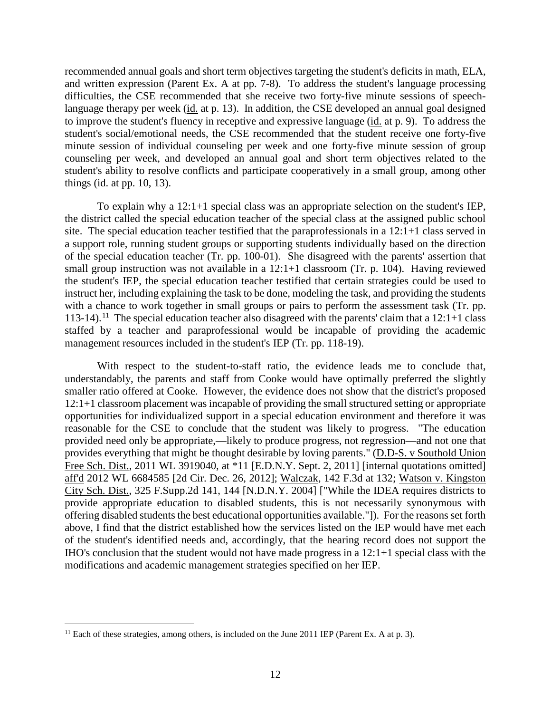recommended annual goals and short term objectives targeting the student's deficits in math, ELA, and written expression (Parent Ex. A at pp. 7-8). To address the student's language processing difficulties, the CSE recommended that she receive two forty-five minute sessions of speechlanguage therapy per week (id. at p. 13). In addition, the CSE developed an annual goal designed to improve the student's fluency in receptive and expressive language (id. at p. 9). To address the student's social/emotional needs, the CSE recommended that the student receive one forty-five minute session of individual counseling per week and one forty-five minute session of group counseling per week, and developed an annual goal and short term objectives related to the student's ability to resolve conflicts and participate cooperatively in a small group, among other things (id. at pp. 10, 13).

To explain why a 12:1+1 special class was an appropriate selection on the student's IEP, the district called the special education teacher of the special class at the assigned public school site. The special education teacher testified that the paraprofessionals in a 12:1+1 class served in a support role, running student groups or supporting students individually based on the direction of the special education teacher (Tr. pp. 100-01). She disagreed with the parents' assertion that small group instruction was not available in a 12:1+1 classroom (Tr. p. 104). Having reviewed the student's IEP, the special education teacher testified that certain strategies could be used to instruct her, including explaining the task to be done, modeling the task, and providing the students with a chance to work together in small groups or pairs to perform the assessment task (Tr. pp. 113-14).<sup>11</sup> The special education teacher also disagreed with the parents' claim that a  $12:1+1$  class staffed by a teacher and paraprofessional would be incapable of providing the academic management resources included in the student's IEP (Tr. pp. 118-19).

With respect to the student-to-staff ratio, the evidence leads me to conclude that, understandably, the parents and staff from Cooke would have optimally preferred the slightly smaller ratio offered at Cooke. However, the evidence does not show that the district's proposed 12:1+1 classroom placement was incapable of providing the small structured setting or appropriate opportunities for individualized support in a special education environment and therefore it was reasonable for the CSE to conclude that the student was likely to progress. "The education provided need only be appropriate,—likely to produce progress, not regression—and not one that provides everything that might be thought desirable by loving parents." (D.D-S. v Southold Union Free Sch. Dist., 2011 WL 3919040, at \*11 [E.D.N.Y. Sept. 2, 2011] [internal quotations omitted] aff'd 2012 WL 6684585 [2d Cir. Dec. 26, 2012]; Walczak, 142 F.3d at 132; Watson v. Kingston City Sch. Dist., 325 F.Supp.2d 141, 144 [N.D.N.Y. 2004] ["While the IDEA requires districts to provide appropriate education to disabled students, this is not necessarily synonymous with offering disabled students the best educational opportunities available."]). For the reasons set forth above, I find that the district established how the services listed on the IEP would have met each of the student's identified needs and, accordingly, that the hearing record does not support the IHO's conclusion that the student would not have made progress in a 12:1+1 special class with the modifications and academic management strategies specified on her IEP.

 $11$  Each of these strategies, among others, is included on the June 2011 IEP (Parent Ex. A at p. 3).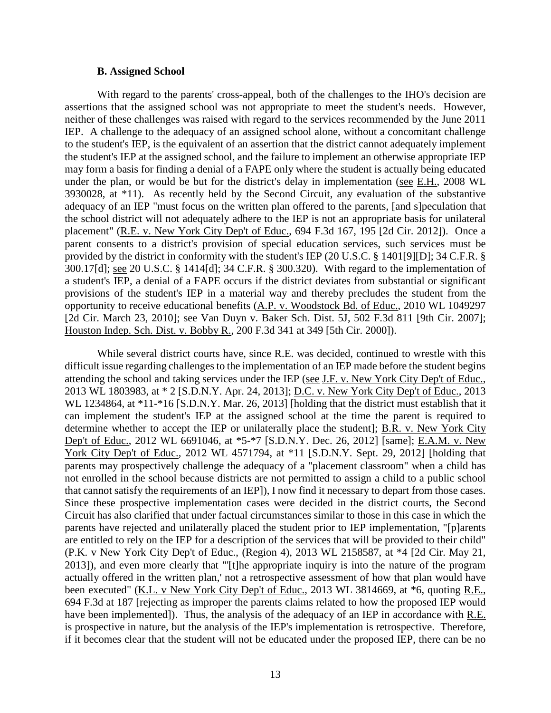## **B. Assigned School**

With regard to the parents' cross-appeal, both of the challenges to the IHO's decision are assertions that the assigned school was not appropriate to meet the student's needs. However, neither of these challenges was raised with regard to the services recommended by the June 2011 IEP. A challenge to the adequacy of an assigned school alone, without a concomitant challenge to the student's IEP, is the equivalent of an assertion that the district cannot adequately implement the student's IEP at the assigned school, and the failure to implement an otherwise appropriate IEP may form a basis for finding a denial of a FAPE only where the student is actually being educated under the plan, or would be but for the district's delay in implementation (see E.H., 2008 WL 3930028, at \*11). As recently held by the Second Circuit, any evaluation of the substantive adequacy of an IEP "must focus on the written plan offered to the parents, [and s]peculation that the school district will not adequately adhere to the IEP is not an appropriate basis for unilateral placement" (R.E. v. New York City Dep't of Educ., 694 F.3d 167, 195 [2d Cir. 2012]). Once a parent consents to a district's provision of special education services, such services must be provided by the district in conformity with the student's IEP (20 U.S.C. § 1401[9][D]; 34 C.F.R. § 300.17[d]; see 20 U.S.C. § 1414[d]; 34 C.F.R. § 300.320). With regard to the implementation of a student's IEP, a denial of a FAPE occurs if the district deviates from substantial or significant provisions of the student's IEP in a material way and thereby precludes the student from the opportunity to receive educational benefits (A.P. v. Woodstock Bd. of Educ., 2010 WL 1049297 [2d Cir. March 23, 2010]; see Van Duyn v. Baker Sch. Dist. 5J, 502 F.3d 811 [9th Cir. 2007]; Houston Indep. Sch. Dist. v. Bobby R., 200 F.3d 341 at 349 [5th Cir. 2000]).

While several district courts have, since R.E. was decided, continued to wrestle with this difficult issue regarding challenges to the implementation of an IEP made before the student begins attending the school and taking services under the IEP (see J.F. v. New York City Dep't of Educ., 2013 WL 1803983, at \* 2 [S.D.N.Y. Apr. 24, 2013]; D.C. v. New York City Dep't of Educ., 2013 WL 1234864, at \*11-\*16 [S.D.N.Y. Mar. 26, 2013] [holding that the district must establish that it can implement the student's IEP at the assigned school at the time the parent is required to determine whether to accept the IEP or unilaterally place the student]; B.R. v. New York City Dep't of Educ., 2012 WL 6691046, at \*5-\*7 [S.D.N.Y. Dec. 26, 2012] [same]; E.A.M. v. New York City Dep't of Educ., 2012 WL 4571794, at \*11 [S.D.N.Y. Sept. 29, 2012] [holding that parents may prospectively challenge the adequacy of a "placement classroom" when a child has not enrolled in the school because districts are not permitted to assign a child to a public school that cannot satisfy the requirements of an IEP]), I now find it necessary to depart from those cases. Since these prospective implementation cases were decided in the district courts, the Second Circuit has also clarified that under factual circumstances similar to those in this case in which the parents have rejected and unilaterally placed the student prior to IEP implementation, "[p]arents are entitled to rely on the IEP for a description of the services that will be provided to their child" (P.K. v New York City Dep't of Educ., (Region 4), 2013 WL 2158587, at \*4 [2d Cir. May 21, 2013]), and even more clearly that "'[t]he appropriate inquiry is into the nature of the program actually offered in the written plan,' not a retrospective assessment of how that plan would have been executed" (K.L. v New York City Dep't of Educ., 2013 WL 3814669, at \*6, quoting R.E., 694 F.3d at 187 [rejecting as improper the parents claims related to how the proposed IEP would have been implemented]). Thus, the analysis of the adequacy of an IEP in accordance with R.E. is prospective in nature, but the analysis of the IEP's implementation is retrospective. Therefore, if it becomes clear that the student will not be educated under the proposed IEP, there can be no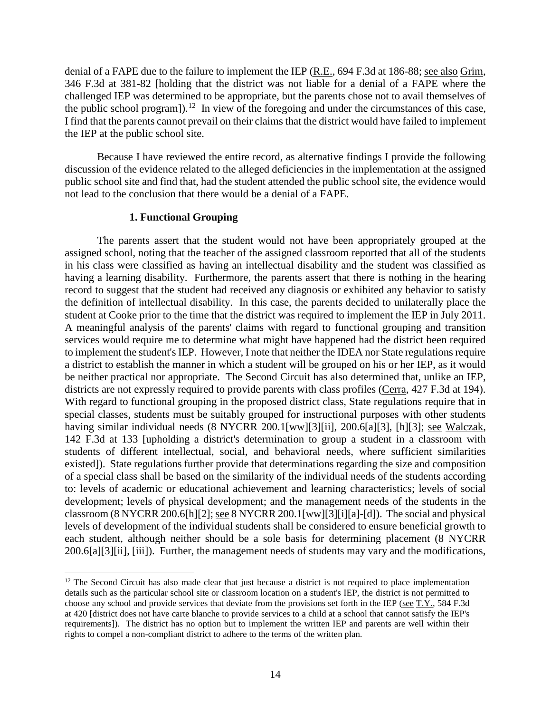denial of a FAPE due to the failure to implement the IEP (R.E., 694 F.3d at 186-88; see also Grim, 346 F.3d at 381-82 [holding that the district was not liable for a denial of a FAPE where the challenged IEP was determined to be appropriate, but the parents chose not to avail themselves of the public school program]).<sup>12</sup> In view of the foregoing and under the circumstances of this case, I find that the parents cannot prevail on their claims that the district would have failed to implement the IEP at the public school site.

Because I have reviewed the entire record, as alternative findings I provide the following discussion of the evidence related to the alleged deficiencies in the implementation at the assigned public school site and find that, had the student attended the public school site, the evidence would not lead to the conclusion that there would be a denial of a FAPE.

#### **1. Functional Grouping**

The parents assert that the student would not have been appropriately grouped at the assigned school, noting that the teacher of the assigned classroom reported that all of the students in his class were classified as having an intellectual disability and the student was classified as having a learning disability. Furthermore, the parents assert that there is nothing in the hearing record to suggest that the student had received any diagnosis or exhibited any behavior to satisfy the definition of intellectual disability. In this case, the parents decided to unilaterally place the student at Cooke prior to the time that the district was required to implement the IEP in July 2011. A meaningful analysis of the parents' claims with regard to functional grouping and transition services would require me to determine what might have happened had the district been required to implement the student's IEP. However, I note that neither the IDEA nor State regulations require a district to establish the manner in which a student will be grouped on his or her IEP, as it would be neither practical nor appropriate. The Second Circuit has also determined that, unlike an IEP, districts are not expressly required to provide parents with class profiles (Cerra, 427 F.3d at 194). With regard to functional grouping in the proposed district class, State regulations require that in special classes, students must be suitably grouped for instructional purposes with other students having similar individual needs (8 NYCRR 200.1[ww][3][ii], 200.6[a][3], [h][3]; see Walczak, 142 F.3d at 133 [upholding a district's determination to group a student in a classroom with students of different intellectual, social, and behavioral needs, where sufficient similarities existed]). State regulations further provide that determinations regarding the size and composition of a special class shall be based on the similarity of the individual needs of the students according to: levels of academic or educational achievement and learning characteristics; levels of social development; levels of physical development; and the management needs of the students in the classroom (8 NYCRR 200.6[h][2]; see 8 NYCRR 200.1[ww][3][i][a]-[d]). The social and physical levels of development of the individual students shall be considered to ensure beneficial growth to each student, although neither should be a sole basis for determining placement (8 NYCRR 200.6[a][3][ii], [iii]). Further, the management needs of students may vary and the modifications,

<sup>&</sup>lt;sup>12</sup> The Second Circuit has also made clear that just because a district is not required to place implementation details such as the particular school site or classroom location on a student's IEP, the district is not permitted to choose any school and provide services that deviate from the provisions set forth in the IEP (see T.Y., 584 F.3d at 420 [district does not have carte blanche to provide services to a child at a school that cannot satisfy the IEP's requirements]). The district has no option but to implement the written IEP and parents are well within their rights to compel a non-compliant district to adhere to the terms of the written plan.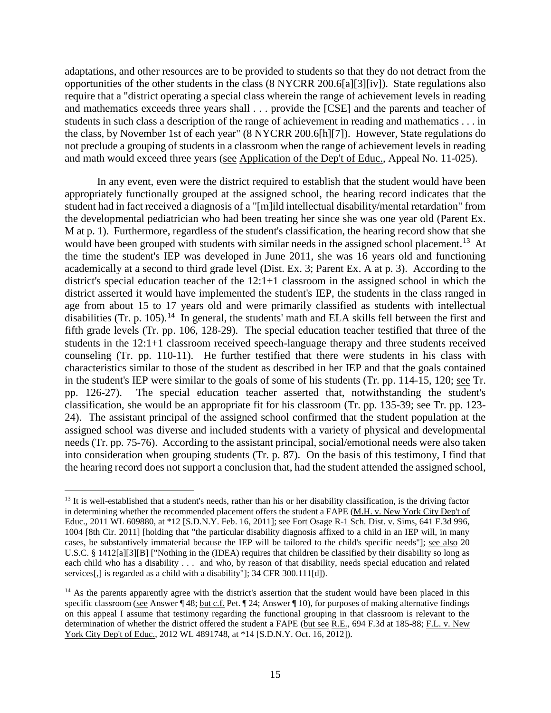adaptations, and other resources are to be provided to students so that they do not detract from the opportunities of the other students in the class (8 NYCRR 200.6[a][3][iv]). State regulations also require that a "district operating a special class wherein the range of achievement levels in reading and mathematics exceeds three years shall . . . provide the [CSE] and the parents and teacher of students in such class a description of the range of achievement in reading and mathematics . . . in the class, by November 1st of each year" (8 NYCRR 200.6[h][7]). However, State regulations do not preclude a grouping of students in a classroom when the range of achievement levels in reading and math would exceed three years (see Application of the Dep't of Educ., Appeal No. 11-025).

In any event, even were the district required to establish that the student would have been appropriately functionally grouped at the assigned school, the hearing record indicates that the student had in fact received a diagnosis of a "[m]ild intellectual disability/mental retardation" from the developmental pediatrician who had been treating her since she was one year old (Parent Ex. M at p. 1). Furthermore, regardless of the student's classification, the hearing record show that she would have been grouped with students with similar needs in the assigned school placement.<sup>13</sup> At the time the student's IEP was developed in June 2011, she was 16 years old and functioning academically at a second to third grade level (Dist. Ex. 3; Parent Ex. A at p. 3). According to the district's special education teacher of the 12:1+1 classroom in the assigned school in which the district asserted it would have implemented the student's IEP, the students in the class ranged in age from about 15 to 17 years old and were primarily classified as students with intellectual disabilities (Tr. p. 105).<sup>14</sup> In general, the students' math and ELA skills fell between the first and fifth grade levels (Tr. pp. 106, 128-29). The special education teacher testified that three of the students in the 12:1+1 classroom received speech-language therapy and three students received counseling (Tr. pp. 110-11). He further testified that there were students in his class with characteristics similar to those of the student as described in her IEP and that the goals contained in the student's IEP were similar to the goals of some of his students (Tr. pp. 114-15, 120; see Tr. pp. 126-27). The special education teacher asserted that, notwithstanding the student's classification, she would be an appropriate fit for his classroom (Tr. pp. 135-39; see Tr. pp. 123- 24). The assistant principal of the assigned school confirmed that the student population at the assigned school was diverse and included students with a variety of physical and developmental needs (Tr. pp. 75-76). According to the assistant principal, social/emotional needs were also taken into consideration when grouping students (Tr. p. 87). On the basis of this testimony, I find that the hearing record does not support a conclusion that, had the student attended the assigned school,

<sup>&</sup>lt;sup>13</sup> It is well-established that a student's needs, rather than his or her disability classification, is the driving factor in determining whether the recommended placement offers the student a FAPE (M.H. v. New York City Dep't of Educ., 2011 WL 609880, at \*12 [S.D.N.Y. Feb. 16, 2011]; see Fort Osage R-1 Sch. Dist. v. Sims, 641 F.3d 996, 1004 [8th Cir. 2011] [holding that "the particular disability diagnosis affixed to a child in an IEP will, in many cases, be substantively immaterial because the IEP will be tailored to the child's specific needs"]; see also 20 U.S.C. § 1412[a][3][B] ["Nothing in the (IDEA) requires that children be classified by their disability so long as each child who has a disability . . . and who, by reason of that disability, needs special education and related services[,] is regarded as a child with a disability"]; 34 CFR 300.111[d]).

<sup>&</sup>lt;sup>14</sup> As the parents apparently agree with the district's assertion that the student would have been placed in this specific classroom (see Answer ¶ 48; but c.f. Pet. ¶ 24; Answer ¶ 10), for purposes of making alternative findings on this appeal I assume that testimony regarding the functional grouping in that classroom is relevant to the determination of whether the district offered the student a FAPE (but see R.E., 694 F.3d at 185-88; F.L. v. New York City Dep't of Educ., 2012 WL 4891748, at \*14 [S.D.N.Y. Oct. 16, 2012]).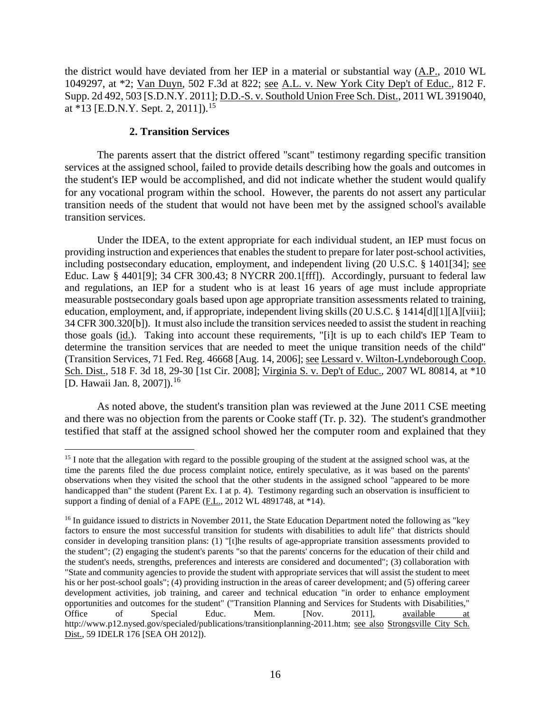the district would have deviated from her IEP in a material or substantial way (A.P., 2010 WL 1049297, at \*2; Van Duyn, 502 F.3d at 822; see A.L. v. New York City Dep't of Educ., 812 F. Supp. 2d 492, 503 [S.D.N.Y. 2011]; D.D.-S. v. Southold Union Free Sch. Dist., 2011 WL 3919040, at  $*13$  [E.D.N.Y. Sept. 2, 2011]).<sup>15</sup>

## **2. Transition Services**

The parents assert that the district offered "scant" testimony regarding specific transition services at the assigned school, failed to provide details describing how the goals and outcomes in the student's IEP would be accomplished, and did not indicate whether the student would qualify for any vocational program within the school. However, the parents do not assert any particular transition needs of the student that would not have been met by the assigned school's available transition services.

Under the IDEA, to the extent appropriate for each individual student, an IEP must focus on providing instruction and experiences that enables the student to prepare for later post-school activities, including postsecondary education, employment, and independent living (20 U.S.C. § 1401[34]; see Educ. Law § 4401[9]; 34 CFR 300.43; 8 NYCRR 200.1[fff]). Accordingly, pursuant to federal law and regulations, an IEP for a student who is at least 16 years of age must include appropriate measurable postsecondary goals based upon age appropriate transition assessments related to training, education, employment, and, if appropriate, independent living skills (20 U.S.C. § 1414[d][1][A][viii]; 34 CFR 300.320[b]). It must also include the transition services needed to assist the student in reaching those goals (id.). Taking into account these requirements, "[i]t is up to each child's IEP Team to determine the transition services that are needed to meet the unique transition needs of the child" (Transition Services, 71 Fed. Reg. 46668 [Aug. 14, 2006]; see Lessard v. Wilton-Lyndeborough Coop. Sch. Dist., 518 F. 3d 18, 29-30 [1st Cir. 2008]; Virginia S. v. Dep't of Educ., 2007 WL 80814, at \*10 [D. Hawaii Jan. 8, 2007]).<sup>16</sup>

As noted above, the student's transition plan was reviewed at the June 2011 CSE meeting and there was no objection from the parents or Cooke staff (Tr. p. 32). The student's grandmother testified that staff at the assigned school showed her the computer room and explained that they

<sup>&</sup>lt;sup>15</sup> I note that the allegation with regard to the possible grouping of the student at the assigned school was, at the time the parents filed the due process complaint notice, entirely speculative, as it was based on the parents' observations when they visited the school that the other students in the assigned school "appeared to be more handicapped than" the student (Parent Ex. I at p. 4). Testimony regarding such an observation is insufficient to support a finding of denial of a FAPE (F.L., 2012 WL 4891748, at \*14).

<sup>&</sup>lt;sup>16</sup> In guidance issued to districts in November 2011, the State Education Department noted the following as "key factors to ensure the most successful transition for students with disabilities to adult life" that districts should consider in developing transition plans: (1) "[t]he results of age-appropriate transition assessments provided to the student"; (2) engaging the student's parents "so that the parents' concerns for the education of their child and the student's needs, strengths, preferences and interests are considered and documented"; (3) collaboration with "State and community agencies to provide the student with appropriate services that will assist the student to meet his or her post-school goals"; (4) providing instruction in the areas of career development; and (5) offering career development activities, job training, and career and technical education "in order to enhance employment opportunities and outcomes for the student" ("Transition Planning and Services for Students with Disabilities,"<br>Office of Special Educ. Mem. [Nov. 2011], available at Office of Special Educ. Mem. [Nov. 2011], available at http://www.p12.nysed.gov/specialed/publications/transitionplanning-2011.htm; see also Strongsville City Sch. Dist., 59 IDELR 176 [SEA OH 2012]).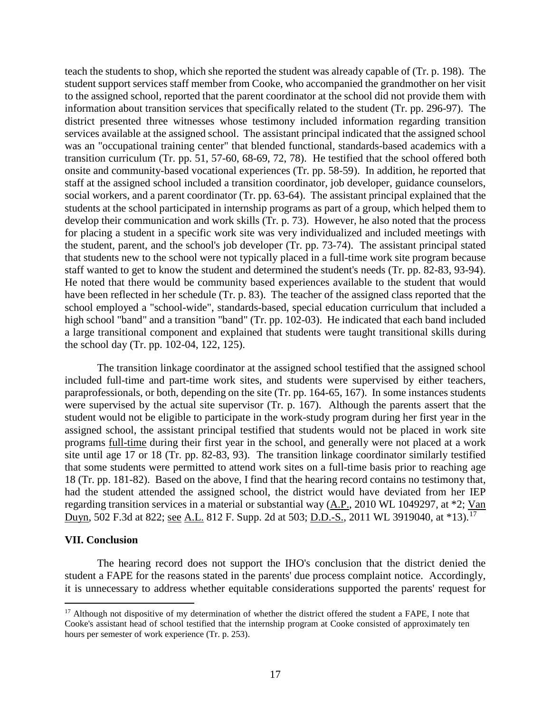teach the students to shop, which she reported the student was already capable of (Tr. p. 198). The student support services staff member from Cooke, who accompanied the grandmother on her visit to the assigned school, reported that the parent coordinator at the school did not provide them with information about transition services that specifically related to the student (Tr. pp. 296-97). The district presented three witnesses whose testimony included information regarding transition services available at the assigned school. The assistant principal indicated that the assigned school was an "occupational training center" that blended functional, standards-based academics with a transition curriculum (Tr. pp. 51, 57-60, 68-69, 72, 78). He testified that the school offered both onsite and community-based vocational experiences (Tr. pp. 58-59). In addition, he reported that staff at the assigned school included a transition coordinator, job developer, guidance counselors, social workers, and a parent coordinator (Tr. pp. 63-64). The assistant principal explained that the students at the school participated in internship programs as part of a group, which helped them to develop their communication and work skills (Tr. p. 73). However, he also noted that the process for placing a student in a specific work site was very individualized and included meetings with the student, parent, and the school's job developer (Tr. pp. 73-74). The assistant principal stated that students new to the school were not typically placed in a full-time work site program because staff wanted to get to know the student and determined the student's needs (Tr. pp. 82-83, 93-94). He noted that there would be community based experiences available to the student that would have been reflected in her schedule (Tr. p. 83). The teacher of the assigned class reported that the school employed a "school-wide", standards-based, special education curriculum that included a high school "band" and a transition "band" (Tr. pp. 102-03). He indicated that each band included a large transitional component and explained that students were taught transitional skills during the school day (Tr. pp. 102-04, 122, 125).

The transition linkage coordinator at the assigned school testified that the assigned school included full-time and part-time work sites, and students were supervised by either teachers, paraprofessionals, or both, depending on the site (Tr. pp. 164-65, 167). In some instances students were supervised by the actual site supervisor (Tr. p. 167). Although the parents assert that the student would not be eligible to participate in the work-study program during her first year in the assigned school, the assistant principal testified that students would not be placed in work site programs full-time during their first year in the school, and generally were not placed at a work site until age 17 or 18 (Tr. pp. 82-83, 93). The transition linkage coordinator similarly testified that some students were permitted to attend work sites on a full-time basis prior to reaching age 18 (Tr. pp. 181-82). Based on the above, I find that the hearing record contains no testimony that, had the student attended the assigned school, the district would have deviated from her IEP regarding transition services in a material or substantial way (A.P., 2010 WL 1049297, at \*2; Van Duyn, 502 F.3d at 822; <u>see A.L.</u> 812 F. Supp. 2d at 503; D.D.-S., 2011 WL 3919040, at \*13).<sup>17</sup>

#### **VII. Conclusion**

The hearing record does not support the IHO's conclusion that the district denied the student a FAPE for the reasons stated in the parents' due process complaint notice. Accordingly, it is unnecessary to address whether equitable considerations supported the parents' request for

<sup>&</sup>lt;sup>17</sup> Although not dispositive of my determination of whether the district offered the student a FAPE, I note that Cooke's assistant head of school testified that the internship program at Cooke consisted of approximately ten hours per semester of work experience (Tr. p. 253).